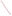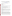# **Technical Factsheet on: o-DICHLOROBENZENE**

[List of Contaminants](http://www.epa.gov/safewater/hfacts.html) 

 As part of the Drinking Water and Health pages, this fact sheet is part of a larger publication: **National Primary Drinking Water Regulations** 

## **Drinking Water Standards**

 MCL: 0.6 mg/L MCLG: 0.6 mg/L HAL: 1 to 10 day: 9 mg/L; Longer-term: 9 mg/L

## **Health Effects Summary**

 Acute: EPA has no data on the acute toxicity of o-dichlorobenzene which is relevant to the drinking water context.

 consuming 1 liter of water per day: upto a 7-year exposure to 9 mg/L. Drinking water levels which are considered "safe" for short-term exposures: For a 10-kg (22 lb.) child

Chronic: EPA has found o-dichlorobenzene to potentially cause damage to the nervous system, liver, kidneys and blood cells from long-term exposure at levels above the MCL.

 cause cancer from lifetime exposures in drinking water. Cancer: There is inadequate evidence to state whether or not o-dichlorobenzene has the potential to

## **Usage Patterns**

 Production of o-dichlorobenzene has decreased since the 1970's: from 54.6 million lbs. in 1975 to an estimated 43 million lbs. in 1991. In 1987 it was estimated that industries consumed o-dichlorobenzene solvent and miscellaneous uses, 5%. as follows: Organic synthesis (mainly for herbicides), 90%; toluene diisocyanate processing solvent, 5%;

The greatest use of o-dichlorobenzene is as a chemical intermediate for making agricultural chemicals, primarily herbicides.

Other present and past uses include: solvent for waxes, gums, resins, wood preservatives, paints; insecticide for termites and borers; in making dyes; as a coolant, deodorizer, degreaser.

# **Release Patterns**

 water. Dichlorobenzenes also enter the water systems (raw and contaminated water) from the use of 1,2- 1,2-Dichlorobenzene's use in manufacturing and solvents may be significant sources of discharges into DCB as a deodorant in industrial wastewater treatment. Chemical waste dump leachates and direct manufacturing effluents are reported to be the major source of pollution of the chlorobenzenes (including the dichlorobenzenes) to Lake Ontario. The major source of 1,2-dichlorobenzene emission to the atmosphere has been reported to be solvent applications which may emit 25% of annual production to the atmosphere.

 to land and water totalled over 240,000 lbs., of which nearly 172,000 lbs. was to land. These releases From 1987 to 1993, according to EPA's Toxic Chemical Release Inventory, o-dichlorobenzene releases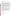were primarily from organic chemicals manufacturing industries which use it as an intermediate in herbicide production. The largest releases occurred in New Jersey.

# **Environmental Fate**

 If released to soil, 1,2-dichlorobenzene can be moderately to tightly adsorbed. Experimental Koc values that leaching can occur. Volatilization from soil surfaces may be an important transport mechanism. It is of 280 to 320 were determined in silt loam soils containing less than 2 percent organic matter. In equilibrium batch studies, a relatively strong adsorption of 1,2-dichlorobenzene to collected aquifer material was observed. However, the detection of 1,2-dichlorobenzene in various groundwaters indicates possible that 1,2-dichlorobenzene will be slowly biodegraded in soil under aerobic conditions. Chemical transformation by hydrolysis, oxidation or direct photolysis are not expected to occur in soil.

 If released to water, adsorption to sediment will be a major environmental fate process based upon Dichlorobenzene is volatile from the water column with an estimated half-life of 4.4 hours from a model slow biodegradation in natural water. The dichlorobenzenes are not expected to be biotransformed in extensive monitoring data in the Great Lakes area and Koc values. Analysis of Lake Ontario sediment cores has indicated the presence and persistence of 1,2-dichlorobenzene since before 1940. 1,2 river one meter deep flowing 1 m/sec with a wind velocity of 3 m/sec at 20 deg C; adsorption to sediment will attenuate volatilization. It has been suggested that the three dichlorobenzene isomers may undergo anaerobic water conditions found in aquifers.

 1,2-Dichlorobenzene is not expected to undergo significant hydrolysis in environmental waters. It is environment should not be significant. reported to be resistant towards oxidation by peroxy radicals in aquatic media. In an isooctane solvent, 1,2-dichlorobenzene absorbs virtually no radiation above 300 nm; therefore, direct photolysis in the

 photochemically produced hydroxyl radicals at an estimated half-life rate of 24 days in a typical atmosphere. Direct photolysis in the troposphere is not expected to be important. The detection of 1,2- dichlorobenzene in rainwater suggests that atmospheric removal via wash-out is possible. If released to air, 1,2-dichlorobenzene will exist predominantly in the vapor-phase and will react with

 dichlorobenzene may occur through oral consumption of contaminated drinking water and food (particularly fish) and through inhalation of contaminated air since 1,2-dichlorobenzene has been detected In a study of a representative green alga, the log10 bioconcentration factors (BCF) for 1,2 dichlorobenzene was 4.17. Experimental BCF values of 66-560 have been reported and 1,2 dichlorobenzene has been detected in trout from Lake Ontario. General population exposure to 1,2 in widespread ambient air.

# **Chemical/Physical Properties**

CAS Number: 95-50-1

Color/ Form/Odor: Colorless liquid with pleasant, aromatic odor<br>M.P.: -17 C B.P.: 180.5 C

Vapor Pressure: 1.47 mm Hg at 25 C

Octanol/Water Partition (Kow): Log Kow = 3.38

Density/Spec. grav: 1.31 g/L at 20 C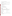Soil sorption coefficient: Koc measured at 280 to 320 for loam soils; low to moderate mobility in soil

Odor/Taste Thresholds: N/A

Soil sorption coefficient: Koc measured at 280 to 320 for loam soils; low to moderate mobility in soil<br>Odor/Taste Thresholds: N/A<br>Bioconcentration Factor: BCF measured at 270 to 560 in fish; expected to bioconcentrate in a organisms.

Henry's Law Coefficient: 0.0012 atm-cu m/mole at 20 C

Trade Names/Synonyms: ortho Dichlorobenzol, Dilantin, Dowtherm E, Chloroben, Dilatin DB

# **Other Regulatory Information**

Monitoring:

--For Ground/Surface Water Sources:

Initial Frequency- 4 quarterly samples every 3 years

Repeat Frequency- Annually after 1 year of no detection

--Triggers - Return to Initial Freq. if detect at > 0.0005 mg/L

#### **Analysis**

**Analysis**<br>Reference Source Method Numbers **Reference Source** EPA 600/4-88-039 502.2; 524.2

**Treatment/Best Available Technologies:** Granular Activated Charcoal and Packed Tower Aeration

## **Toxic Release Inventory - Releases to Water and Land, 1987 to 1993 (in pounds):**

|                            |        | Water   | Land     |
|----------------------------|--------|---------|----------|
| <b>TOTALS (in pounds)</b>  |        | 75,967  | 171,663  |
| Top Five States*           |        |         |          |
| NJ                         | 19,602 | 165,661 |          |
| WV                         | 39,653 | 0       |          |
| 0R                         | 7.260  | 0       |          |
| SC                         | 1,502  | 4.628   |          |
| ТX                         | 1.418  | 1.000   |          |
| <b>Major Industries</b>    |        |         |          |
| <b>Industrial Organics</b> |        | 15.416  | 98,092   |
| Cyclic crudes, dyes        |        | 7,639   | 67,418   |
| Alkalis, chlorine          |        | 38.029  | 0        |
| Paper mills                |        | 7.260   | $\Omega$ |
| Gum, wood chems.           |        | 250     | 4,378    |
|                            |        |         |          |

 \* Water/Land totals only include facilities with releases greater than a certain amount - usually 1000 to 10,000 lbs.

# **For Additional Information**